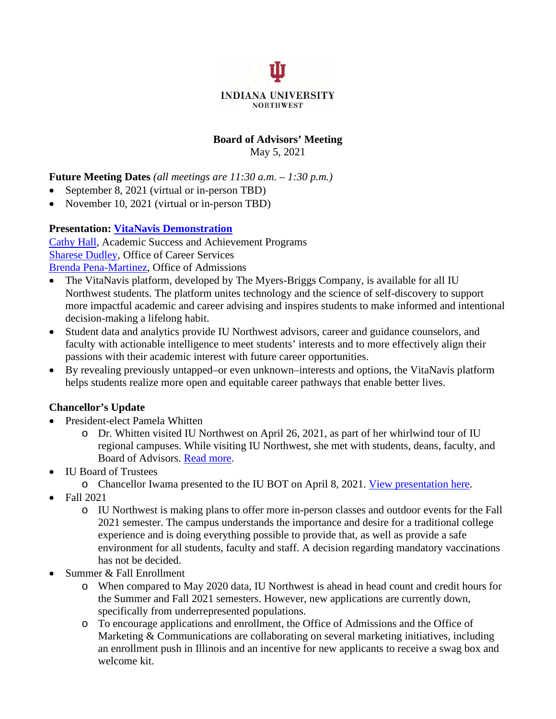

#### **Board of Advisors' Meeting**  May 5, 2021

**Future Meeting Dates** *(all meetings are 11:30 a.m. – 1:30 p.m.)*

- September 8, 2021 (virtual or in-person TBD)
- November 10, 2021 (virtual or in-person TBD)

#### **Presentation: [VitaNavis Demonstration](https://get.vitanavis.com/?ls=vmsr)**

[Cathy Hall,](mailto:(219)%20980-6531) Academic Success and Achievement Programs [Sharese Dudley,](mailto:shaadudl@iun.edu) Office of Career Services [Brenda Pena-Martinez,](mailto:bpenamar@iun.edu) Office of Admissions

- The VitaNavis platform, developed by The Myers-Briggs Company, is available for all IU Northwest students. The platform unites technology and the science of self-discovery to support more impactful academic and career advising and inspires students to make informed and intentional decision-making a lifelong habit.
- Student data and analytics provide IU Northwest advisors, career and guidance counselors, and faculty with actionable intelligence to meet students' interests and to more effectively align their passions with their academic interest with future career opportunities.
- By revealing previously untapped–or even unknown–interests and options, the VitaNavis platform helps students realize more open and equitable career pathways that enable better lives.

## **Chancellor's Update**

- President-elect Pamela Whitten
	- o Dr. Whitten visited IU Northwest on April 26, 2021, as part of her whirlwind tour of IU regional campuses. While visiting IU Northwest, she met with students, deans, faculty, and Board of Advisors. [Read more.](https://www.iun.edu/news/2021/pamela-whitten-visit.htm)
- IU Board of Trustees
	- o Chancellor Iwama presented to the IU BOT on April 8, 2021. [View presentation here.](https://www.youtube.com/watch?v=ycEt_57SatQ&t=1s)
- Fall 2021
	- o IU Northwest is making plans to offer more in-person classes and outdoor events for the Fall 2021 semester. The campus understands the importance and desire for a traditional college experience and is doing everything possible to provide that, as well as provide a safe environment for all students, faculty and staff. A decision regarding mandatory vaccinations has not be decided.
- Summer & Fall Enrollment
	- o When compared to May 2020 data, IU Northwest is ahead in head count and credit hours for the Summer and Fall 2021 semesters. However, new applications are currently down, specifically from underrepresented populations.
	- o To encourage applications and enrollment, the Office of Admissions and the Office of Marketing & Communications are collaborating on several marketing initiatives, including an enrollment push in Illinois and an incentive for new applicants to receive a swag box and welcome kit.